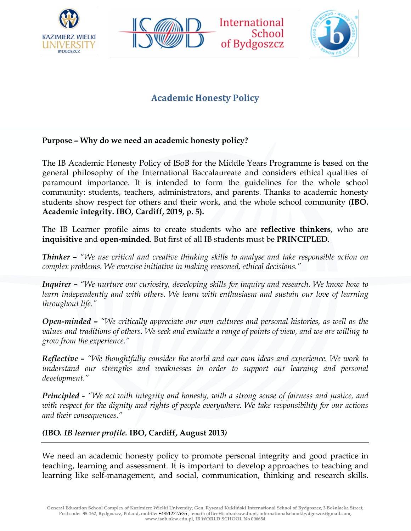





# **Academic Honesty Policy**

# **Purpose – Why do we need an academic honesty policy?**

The IB Academic Honesty Policy of ISoB for the Middle Years Programme is based on the general philosophy of the International Baccalaureate and considers ethical qualities of paramount importance. It is intended to form the guidelines for the whole school community: students, teachers, administrators, and parents. Thanks to academic honesty students show respect for others and their work, and the whole school community (**IBO. Academic integrity. IBO, Cardiff, 2019, p. 5).**

The IB Learner profile aims to create students who are **reflective thinkers**, who are **inquisitive** and **open-minded**. But first of all IB students must be **PRINCIPLED**.

*Thinker – "We use critical and creative thinking skills to analyse and take responsible action on complex problems. We exercise initiative in making reasoned, ethical decisions."*

*Inquirer – "We nurture our curiosity, developing skills for inquiry and research. We know how to learn independently and with others. We learn with enthusiasm and sustain our love of learning throughout life."*

*Open-minded – "We critically appreciate our own cultures and personal histories, as well as the values and traditions of others. We seek and evaluate a range of points of view, and we are willing to grow from the experience."*

*Reflective – "We thoughtfully consider the world and our own ideas and experience. We work to understand our strengths and weaknesses in order to support our learning and personal development."*

*Principled - "We act with integrity and honesty, with a strong sense of fairness and justice, and with respect for the dignity and rights of people everywhere. We take responsibility for our actions and their consequences."*

#### *(***IBO***. IB learner profile.* **IBO, Cardiff, August 2013***)*

We need an academic honesty policy to promote personal integrity and good practice in teaching, learning and assessment. It is important to develop approaches to teaching and learning like self-management, and social, communication, thinking and research skills.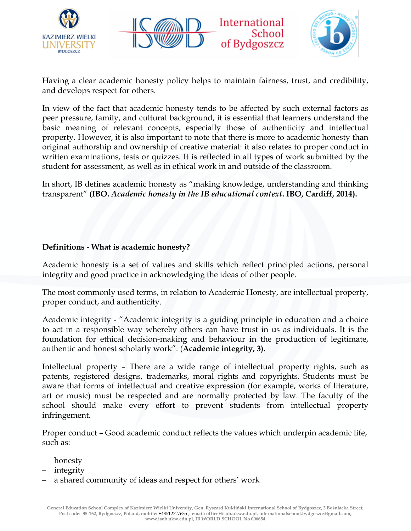





Having a clear academic honesty policy helps to maintain fairness, trust, and credibility, and develops respect for others.

In view of the fact that academic honesty tends to be affected by such external factors as peer pressure, family, and cultural background, it is essential that learners understand the basic meaning of relevant concepts, especially those of authenticity and intellectual property. However, it is also important to note that there is more to academic honesty than original authorship and ownership of creative material: it also relates to proper conduct in written examinations, tests or quizzes. It is reflected in all types of work submitted by the student for assessment, as well as in ethical work in and outside of the classroom.

In short, IB defines academic honesty as "making knowledge, understanding and thinking transparent" **(IBO.** *Academic honesty in the IB educational context***. IBO, Cardiff, 2014).** 

### **Definitions - What is academic honesty?**

Academic honesty is a set of values and skills which reflect principled actions, personal integrity and good practice in acknowledging the ideas of other people.

The most commonly used terms, in relation to Academic Honesty, are intellectual property, proper conduct, and authenticity.

Academic integrity - "Academic integrity is a guiding principle in education and a choice to act in a responsible way whereby others can have trust in us as individuals. It is the foundation for ethical decision-making and behaviour in the production of legitimate, authentic and honest scholarly work". (**Academic integrity, 3).**

Intellectual property – There are a wide range of intellectual property rights, such as patents, registered designs, trademarks, moral rights and copyrights. Students must be aware that forms of intellectual and creative expression (for example, works of literature, art or music) must be respected and are normally protected by law. The faculty of the school should make every effort to prevent students from intellectual property infringement.

Proper conduct – Good academic conduct reflects the values which underpin academic life, such as:

- honesty
- integrity
- a shared community of ideas and respect for others' work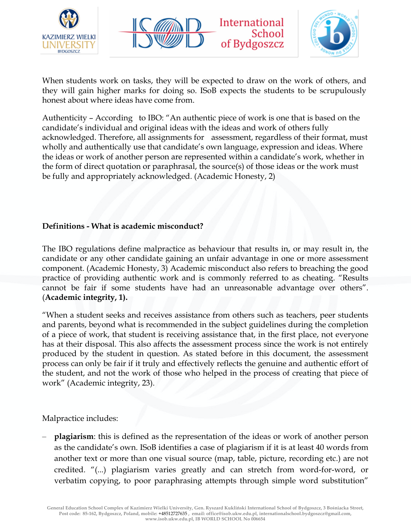





When students work on tasks, they will be expected to draw on the work of others, and they will gain higher marks for doing so. ISoB expects the students to be scrupulously honest about where ideas have come from.

Authenticity – According to IBO: "An authentic piece of work is one that is based on the candidate's individual and original ideas with the ideas and work of others fully acknowledged. Therefore, all assignments for assessment, regardless of their format, must wholly and authentically use that candidate's own language, expression and ideas. Where the ideas or work of another person are represented within a candidate's work, whether in the form of direct quotation or paraphrasal, the source(s) of those ideas or the work must be fully and appropriately acknowledged. (Academic Honesty, 2)

#### **Definitions - What is academic misconduct?**

The IBO regulations define malpractice as behaviour that results in, or may result in, the candidate or any other candidate gaining an unfair advantage in one or more assessment component. (Academic Honesty, 3) Academic misconduct also refers to breaching the good practice of providing authentic work and is commonly referred to as cheating. "Results cannot be fair if some students have had an unreasonable advantage over others". (**Academic integrity, 1).**

"When a student seeks and receives assistance from others such as teachers, peer students and parents, beyond what is recommended in the subject guidelines during the completion of a piece of work, that student is receiving assistance that, in the first place, not everyone has at their disposal. This also affects the assessment process since the work is not entirely produced by the student in question. As stated before in this document, the assessment process can only be fair if it truly and effectively reflects the genuine and authentic effort of the student, and not the work of those who helped in the process of creating that piece of work" (Academic integrity, 23).

Malpractice includes:

– **plagiarism**: this is defined as the representation of the ideas or work of another person as the candidate's own. ISoB identifies a case of plagiarism if it is at least 40 words from another text or more than one visual source (map, table, picture, recording etc.) are not credited. "(...) plagiarism varies greatly and can stretch from word-for-word, or verbatim copying, to poor paraphrasing attempts through simple word substitution"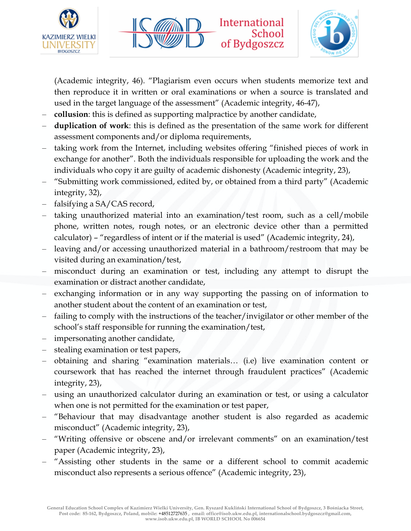





(Academic integrity, 46). "Plagiarism even occurs when students memorize text and then reproduce it in written or oral examinations or when a source is translated and used in the target language of the assessment" (Academic integrity, 46-47),

- **collusion**: this is defined as supporting malpractice by another candidate,
- **duplication of work**: this is defined as the presentation of the same work for different assessment components and/or diploma requirements,
- taking work from the Internet, including websites offering "finished pieces of work in exchange for another". Both the individuals responsible for uploading the work and the individuals who copy it are guilty of academic dishonesty (Academic integrity, 23),
- "Submitting work commissioned, edited by, or obtained from a third party" (Academic integrity, 32),
- falsifying a SA/CAS record,
- taking unauthorized material into an examination/test room, such as a cell/mobile phone, written notes, rough notes, or an electronic device other than a permitted calculator) – "regardless of intent or if the material is used" (Academic integrity, 24),
- leaving and/or accessing unauthorized material in a bathroom/restroom that may be visited during an examination/test,
- misconduct during an examination or test, including any attempt to disrupt the examination or distract another candidate,
- exchanging information or in any way supporting the passing on of information to another student about the content of an examination or test,
- failing to comply with the instructions of the teacher/invigilator or other member of the school's staff responsible for running the examination/test,
- impersonating another candidate,
- stealing examination or test papers,
- obtaining and sharing "examination materials… (i.e) live examination content or coursework that has reached the internet through fraudulent practices" (Academic integrity, 23),
- using an unauthorized calculator during an examination or test, or using a calculator when one is not permitted for the examination or test paper,
- "Behaviour that may disadvantage another student is also regarded as academic misconduct" (Academic integrity, 23),
- "Writing offensive or obscene and/or irrelevant comments" on an examination/test paper (Academic integrity, 23),
- "Assisting other students in the same or a different school to commit academic misconduct also represents a serious offence" (Academic integrity, 23),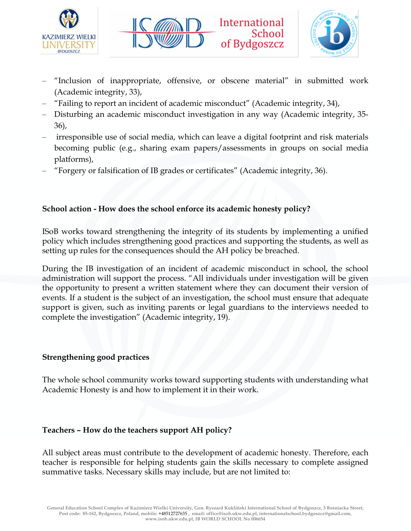





- "Inclusion of inappropriate, offensive, or obscene material" in submitted work (Academic integrity, 33),
- "Failing to report an incident of academic misconduct" (Academic integrity, 34),
- Disturbing an academic misconduct investigation in any way (Academic integrity, 35- 36),
- irresponsible use of social media, which can leave a digital footprint and risk materials becoming public (e.g., sharing exam papers/assessments in groups on social media platforms),
- "Forgery or falsification of IB grades or certificates" (Academic integrity, 36).

# **School action - How does the school enforce its academic honesty policy?**

ISoB works toward strengthening the integrity of its students by implementing a unified policy which includes strengthening good practices and supporting the students, as well as setting up rules for the consequences should the AH policy be breached.

During the IB investigation of an incident of academic misconduct in school, the school administration will support the process. "All individuals under investigation will be given the opportunity to present a written statement where they can document their version of events. If a student is the subject of an investigation, the school must ensure that adequate support is given, such as inviting parents or legal guardians to the interviews needed to complete the investigation" (Academic integrity, 19).

# **Strengthening good practices**

The whole school community works toward supporting students with understanding what Academic Honesty is and how to implement it in their work.

# **Teachers – How do the teachers support AH policy?**

All subject areas must contribute to the development of academic honesty. Therefore, each teacher is responsible for helping students gain the skills necessary to complete assigned summative tasks. Necessary skills may include, but are not limited to: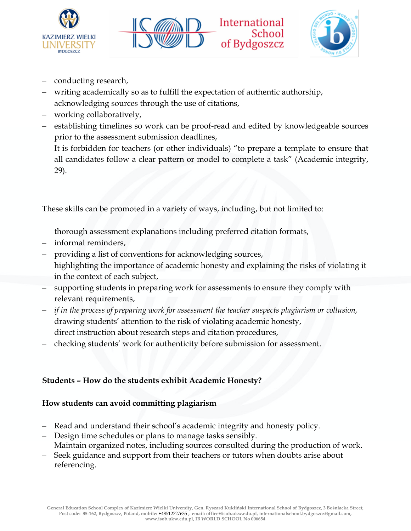





- conducting research,
- writing academically so as to fulfill the expectation of authentic authorship,
- acknowledging sources through the use of citations,
- working collaboratively,
- establishing timelines so work can be proof-read and edited by knowledgeable sources prior to the assessment submission deadlines,
- It is forbidden for teachers (or other individuals) "to prepare a template to ensure that all candidates follow a clear pattern or model to complete a task" (Academic integrity, 29).

These skills can be promoted in a variety of ways, including, but not limited to:

- thorough assessment explanations including preferred citation formats,
- informal reminders,
- providing a list of conventions for acknowledging sources,
- highlighting the importance of academic honesty and explaining the risks of violating it in the context of each subject,
- supporting students in preparing work for assessments to ensure they comply with relevant requirements,
- *if in the process of preparing work for assessment the teacher suspects plagiarism or collusion,* drawing students' attention to the risk of violating academic honesty,
- direct instruction about research steps and citation procedures,
- checking students' work for authenticity before submission for assessment.

# **Students – How do the students exhibit Academic Honesty?**

# **How students can avoid committing plagiarism**

- Read and understand their school's academic integrity and honesty policy.
- Design time schedules or plans to manage tasks sensibly.
- Maintain organized notes, including sources consulted during the production of work.
- Seek guidance and support from their teachers or tutors when doubts arise about referencing.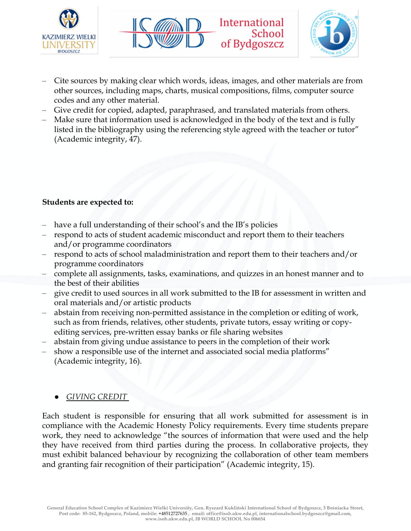





- Cite sources by making clear which words, ideas, images, and other materials are from other sources, including maps, charts, musical compositions, films, computer source codes and any other material.
- Give credit for copied, adapted, paraphrased, and translated materials from others.
- Make sure that information used is acknowledged in the body of the text and is fully listed in the bibliography using the referencing style agreed with the teacher or tutor" (Academic integrity, 47).

### **Students are expected to:**

- have a full understanding of their school's and the IB's policies
- respond to acts of student academic misconduct and report them to their teachers and/or programme coordinators
- respond to acts of school maladministration and report them to their teachers and/or programme coordinators
- complete all assignments, tasks, examinations, and quizzes in an honest manner and to the best of their abilities
- give credit to used sources in all work submitted to the IB for assessment in written and oral materials and/or artistic products
- abstain from receiving non-permitted assistance in the completion or editing of work, such as from friends, relatives, other students, private tutors, essay writing or copyediting services, pre-written essay banks or file sharing websites
- abstain from giving undue assistance to peers in the completion of their work
- show a responsible use of the internet and associated social media platforms" (Academic integrity, 16).

# ● *GIVING CREDIT*

Each student is responsible for ensuring that all work submitted for assessment is in compliance with the Academic Honesty Policy requirements. Every time students prepare work, they need to acknowledge "the sources of information that were used and the help they have received from third parties during the process. In collaborative projects, they must exhibit balanced behaviour by recognizing the collaboration of other team members and granting fair recognition of their participation" (Academic integrity, 15).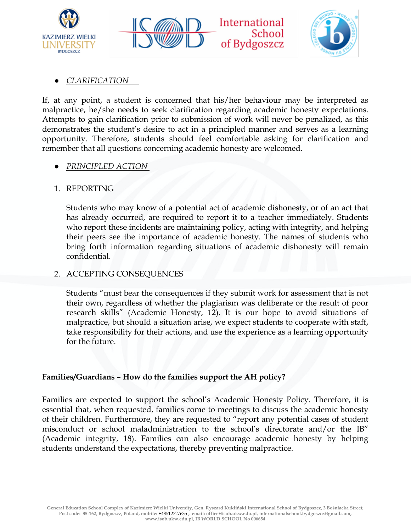





### ● *CLARIFICATION*

If, at any point, a student is concerned that his/her behaviour may be interpreted as malpractice, he/she needs to seek clarification regarding academic honesty expectations. Attempts to gain clarification prior to submission of work will never be penalized, as this demonstrates the student's desire to act in a principled manner and serves as a learning opportunity. Therefore, students should feel comfortable asking for clarification and remember that all questions concerning academic honesty are welcomed.

### ● *PRINCIPLED ACTION*

### 1. REPORTING

Students who may know of a potential act of academic dishonesty, or of an act that has already occurred, are required to report it to a teacher immediately. Students who report these incidents are maintaining policy, acting with integrity, and helping their peers see the importance of academic honesty. The names of students who bring forth information regarding situations of academic dishonesty will remain confidential.

#### 2. ACCEPTING CONSEQUENCES

Students "must bear the consequences if they submit work for assessment that is not their own, regardless of whether the plagiarism was deliberate or the result of poor research skills" (Academic Honesty, 12). It is our hope to avoid situations of malpractice, but should a situation arise, we expect students to cooperate with staff, take responsibility for their actions, and use the experience as a learning opportunity for the future.

#### **Families/Guardians – How do the families support the AH policy?**

Families are expected to support the school's Academic Honesty Policy. Therefore, it is essential that, when requested, families come to meetings to discuss the academic honesty of their children. Furthermore, they are requested to "report any potential cases of student misconduct or school maladministration to the school's directorate and/or the IB" (Academic integrity, 18). Families can also encourage academic honesty by helping students understand the expectations, thereby preventing malpractice.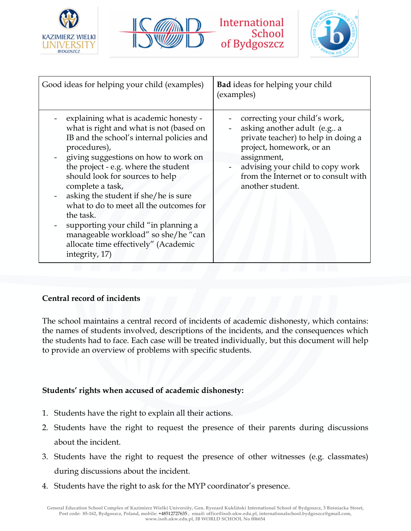







| Good ideas for helping your child (examples)                                                                                                                                                                                                                                                                                                                                                                                                                                                                                  | <b>Bad</b> ideas for helping your child<br>(examples)                                                                                                                                                                                          |
|-------------------------------------------------------------------------------------------------------------------------------------------------------------------------------------------------------------------------------------------------------------------------------------------------------------------------------------------------------------------------------------------------------------------------------------------------------------------------------------------------------------------------------|------------------------------------------------------------------------------------------------------------------------------------------------------------------------------------------------------------------------------------------------|
| explaining what is academic honesty -<br>what is right and what is not (based on<br>IB and the school's internal policies and<br>procedures),<br>giving suggestions on how to work on<br>the project - e.g. where the student<br>should look for sources to help<br>complete a task,<br>asking the student if she/he is sure<br>what to do to meet all the outcomes for<br>the task.<br>supporting your child "in planning a<br>manageable workload" so she/he "can<br>allocate time effectively" (Academic<br>integrity, 17) | correcting your child's work,<br>asking another adult (e.g a<br>private teacher) to help in doing a<br>project, homework, or an<br>assignment,<br>advising your child to copy work<br>from the Internet or to consult with<br>another student. |

#### **Central record of incidents**

The school maintains a central record of incidents of academic dishonesty, which contains: the names of students involved, descriptions of the incidents, and the consequences which the students had to face. Each case will be treated individually, but this document will help to provide an overview of problems with specific students.

#### **Students' rights when accused of academic dishonesty:**

- 1. Students have the right to explain all their actions.
- 2. Students have the right to request the presence of their parents during discussions about the incident.
- 3. Students have the right to request the presence of other witnesses (e.g. classmates) during discussions about the incident.
- 4. Students have the right to ask for the MYP coordinator's presence.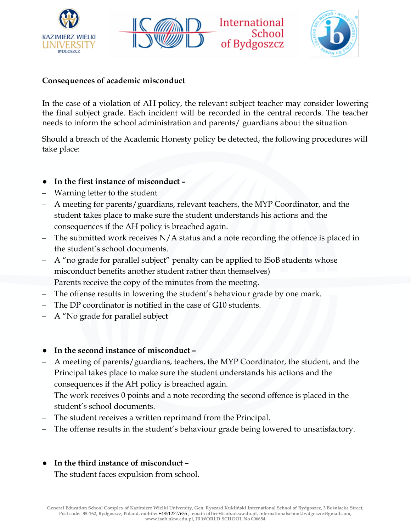





#### **Consequences of academic misconduct**

In the case of a violation of AH policy, the relevant subject teacher may consider lowering the final subject grade. Each incident will be recorded in the central records. The teacher needs to inform the school administration and parents/ guardians about the situation.

Should a breach of the Academic Honesty policy be detected, the following procedures will take place:

- **In the first instance of misconduct –**
- Warning letter to the student
- A meeting for parents/guardians, relevant teachers, the MYP Coordinator, and the student takes place to make sure the student understands his actions and the consequences if the AH policy is breached again.
- The submitted work receives  $N/A$  status and a note recording the offence is placed in the student's school documents.
- A "no grade for parallel subject" penalty can be applied to ISoB students whose misconduct benefits another student rather than themselves)
- Parents receive the copy of the minutes from the meeting.
- The offense results in lowering the student's behaviour grade by one mark.
- The DP coordinator is notified in the case of G10 students.
- A "No grade for parallel subject
- **In the second instance of misconduct –**
- A meeting of parents/guardians, teachers, the MYP Coordinator, the student, and the Principal takes place to make sure the student understands his actions and the consequences if the AH policy is breached again.
- The work receives 0 points and a note recording the second offence is placed in the student's school documents.
- The student receives a written reprimand from the Principal.
- The offense results in the student's behaviour grade being lowered to unsatisfactory.
- **In the third instance of misconduct –**
- The student faces expulsion from school.